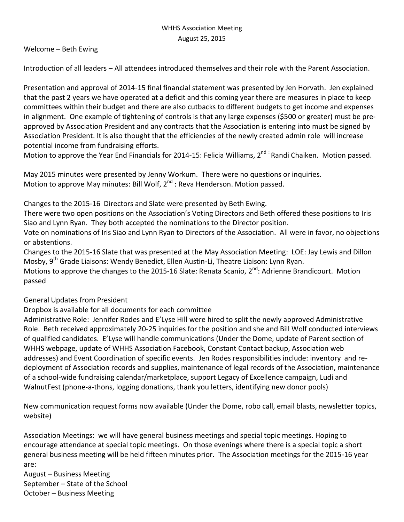Welcome – Beth Ewing

Introduction of all leaders – All attendees introduced themselves and their role with the Parent Association.

Presentation and approval of 2014-15 final financial statement was presented by Jen Horvath. Jen explained that the past 2 years we have operated at a deficit and this coming year there are measures in place to keep committees within their budget and there are also cutbacks to different budgets to get income and expenses in alignment. One example of tightening of controls is that any large expenses (\$500 or greater) must be preapproved by Association President and any contracts that the Association is entering into must be signed by Association President. It is also thought that the efficiencies of the newly created admin role will increase potential income from fundraising efforts.

Motion to approve the Year End Financials for 2014-15: Felicia Williams, 2<sup>nd :</sup> Randi Chaiken. Motion passed.

May 2015 minutes were presented by Jenny Workum. There were no questions or inquiries. Motion to approve May minutes: Bill Wolf, 2<sup>nd</sup> : Reva Henderson. Motion passed.

Changes to the 2015-16 Directors and Slate were presented by Beth Ewing.

There were two open positions on the Association's Voting Directors and Beth offered these positions to Iris Siao and Lynn Ryan. They both accepted the nominations to the Director position.

Vote on nominations of Iris Siao and Lynn Ryan to Directors of the Association. All were in favor, no objections or abstentions.

Changes to the 2015-16 Slate that was presented at the May Association Meeting: LOE: Jay Lewis and Dillon Mosby, 9<sup>th</sup> Grade Liaisons: Wendy Benedict, Ellen Austin-Li, Theatre Liaison: Lynn Ryan.

Motions to approve the changes to the 2015-16 Slate: Renata Scanio, 2<sup>nd</sup>: Adrienne Brandicourt. Motion passed

General Updates from President

Dropbox is available for all documents for each committee

Administrative Role: Jennifer Rodes and E'Lyse Hill were hired to split the newly approved Administrative Role. Beth received approximately 20-25 inquiries for the position and she and Bill Wolf conducted interviews of qualified candidates. E'Lyse will handle communications (Under the Dome, update of Parent section of WHHS webpage, update of WHHS Association Facebook, Constant Contact backup, Association web addresses) and Event Coordination of specific events. Jen Rodes responsibilities include: inventory and redeployment of Association records and supplies, maintenance of legal records of the Association, maintenance of a school-wide fundraising calendar/marketplace, support Legacy of Excellence campaign, Ludi and WalnutFest (phone-a-thons, logging donations, thank you letters, identifying new donor pools)

New communication request forms now available (Under the Dome, robo call, email blasts, newsletter topics, website)

Association Meetings: we will have general business meetings and special topic meetings. Hoping to encourage attendance at special topic meetings. On those evenings where there is a special topic a short general business meeting will be held fifteen minutes prior. The Association meetings for the 2015-16 year are:

August – Business Meeting September – State of the School October – Business Meeting